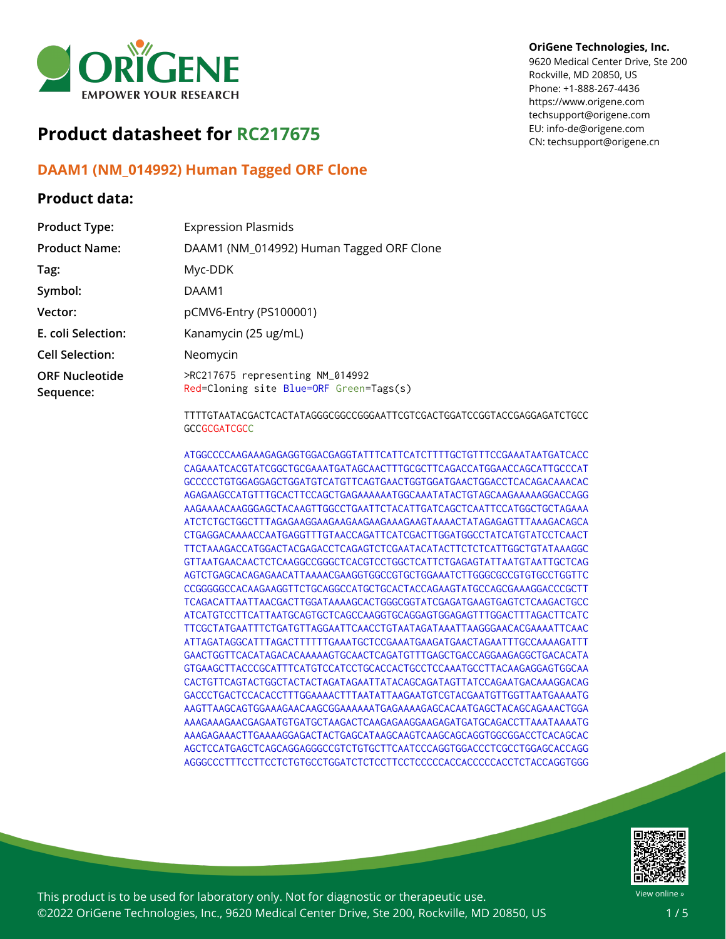

# **Product datasheet for RC217675**

# **DAAM1 (NM\_014992) Human Tagged ORF Clone**

### **Product data:**

#### **OriGene Technologies, Inc.**

9620 Medical Center Drive, Ste 200 Rockville, MD 20850, US Phone: +1-888-267-4436 https://www.origene.com techsupport@origene.com EU: info-de@origene.com CN: techsupport@origene.cn

| <b>Expression Plasmids</b>                                                                    |
|-----------------------------------------------------------------------------------------------|
| DAAM1 (NM_014992) Human Tagged ORF Clone                                                      |
| Myc-DDK                                                                                       |
| DAAM1                                                                                         |
| pCMV6-Entry (PS100001)                                                                        |
| Kanamycin (25 ug/mL)                                                                          |
| Neomycin                                                                                      |
| >RC217675 representing NM_014992<br>Red=Cloning site Blue=ORF Green=Tags(s)                   |
| TTTTGTAATACGACTCACTATAGGGCGGCCGGGAATTCGTCGACTGGATCCGGTACCGAGGAGATCTGCC<br><b>GCCGCGATCGCC</b> |
|                                                                                               |

ATGGCCCCAAGAAAGAGAGGTGGACGAGGTATTTCATTCATCTTTTGCTGTTTCCGAAATAATGATCACC CAGAAATCACGTATCGGCTGCGAAATGATAGCAACTTTGCGCTTCAGACCATGGAACCAGCATTGCCCAT GCCCCCTGTGGAGGAGCTGGATGTCATGTTCAGTGAACTGGTGGATGAACTGGACCTCACAGACAAACAC AGAGAAGCCATGTTTGCACTTCCAGCTGAGAAAAAATGGCAAATATACTGTAGCAAGAAAAAGGACCAGG AAGAAAACAAGGGAGCTACAAGTTGGCCTGAATTCTACATTGATCAGCTCAATTCCATGGCTGCTAGAAA ATCTCTGCTGGCTTTAGAGAAGGAAGAAGAAGAAGAAAGAAGTAAAACTATAGAGAGTTTAAAGACAGCA CTGAGGACAAAACCAATGAGGTTTGTAACCAGATTCATCGACTTGGATGGCCTATCATGTATCCTCAACT TTCTAAAGACCATGGACTACGAGACCTCAGAGTCTCGAATACATACTTCTCTCATTGGCTGTATAAAGGC GTTAATGAACAACTCTCAAGGCCGGGCTCACGTCCTGGCTCATTCTGAGAGTATTAATGTAATTGCTCAG AGTCTGAGCACAGAGAACATTAAAACGAAGGTGGCCGTGCTGGAAATCTTGGGCGCCGTGTGCCTGGTTC CCGGGGGCCACAAGAAGGTTCTGCAGGCCATGCTGCACTACCAGAAGTATGCCAGCGAAAGGACCCGCTT TCAGACATTAATTAACGACTTGGATAAAAGCACTGGGCGGTATCGAGATGAAGTGAGTCTCAAGACTGCC ATCATGTCCTTCATTAATGCAGTGCTCAGCCAAGGTGCAGGAGTGGAGAGTTTGGACTTTAGACTTCATC TTCGCTATGAATTTCTGATGTTAGGAATTCAACCTGTAATAGATAAATTAAGGGAACACGAAAATTCAAC ATTAGATAGGCATTTAGACTTTTTTGAAATGCTCCGAAATGAAGATGAACTAGAATTTGCCAAAAGATTT GAACTGGTTCACATAGACACAAAAAGTGCAACTCAGATGTTTGAGCTGACCAGGAAGAGGCTGACACATA GTGAAGCTTACCCGCATTTCATGTCCATCCTGCACCACTGCCTCCAAATGCCTTACAAGAGGAGTGGCAA CACTGTTCAGTACTGGCTACTACTAGATAGAATTATACAGCAGATAGTTATCCAGAATGACAAAGGACAG GACCCTGACTCCACACCTTTGGAAAACTTTAATATTAAGAATGTCGTACGAATGTTGGTTAATGAAAATG AAGTTAAGCAGTGGAAAGAACAAGCGGAAAAAATGAGAAAAGAGCACAATGAGCTACAGCAGAAACTGGA AAAGAAAGAACGAGAATGTGATGCTAAGACTCAAGAGAAGGAAGAGATGATGCAGACCTTAAATAAAATG AAAGAGAAACTTGAAAAGGAGACTACTGAGCATAAGCAAGTCAAGCAGCAGGTGGCGGACCTCACAGCAC AGCTCCATGAGCTCAGCAGGAGGGCCGTCTGTGCTTCAATCCCAGGTGGACCCTCGCCTGGAGCACCAGG AGGGCCCTTTCCTTCCTCTGTGCCTGGATCTCTCCTTCCTCCCCCACCACCCCCACCTCTACCAGGTGGG



This product is to be used for laboratory only. Not for diagnostic or therapeutic use. ©2022 OriGene Technologies, Inc., 9620 Medical Center Drive, Ste 200, Rockville, MD 20850, US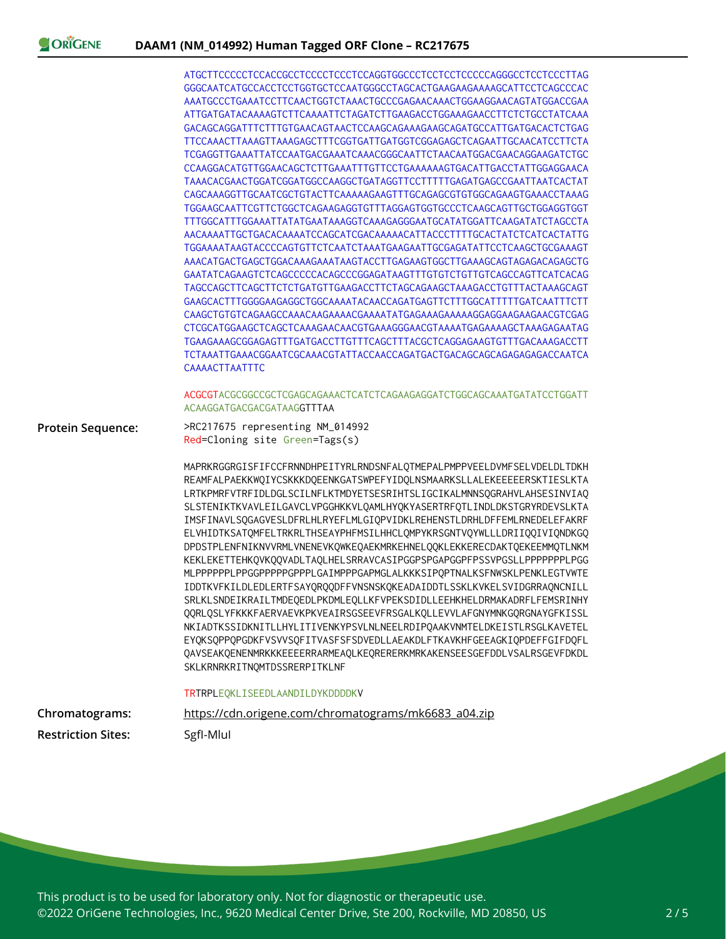ORIGENE

|                           | ATGCTTCCCCCTCCACCGCCTCCCCTCCCTCCAGGTGGCCCTCCTCCTCCCCAGGGCCTCCTCCCTTAG                                                                                                                                                                                                                                                                                                                                                                                                                                                                                                                                                                        |
|---------------------------|----------------------------------------------------------------------------------------------------------------------------------------------------------------------------------------------------------------------------------------------------------------------------------------------------------------------------------------------------------------------------------------------------------------------------------------------------------------------------------------------------------------------------------------------------------------------------------------------------------------------------------------------|
|                           | GGGCAATCATGCCACCTCCTGGTGCTCCAATGGGCCTAGCACTGAAGAAGAAAAGCATTCCTCAGCCCAC                                                                                                                                                                                                                                                                                                                                                                                                                                                                                                                                                                       |
|                           | ATTGATGATACAAAAGTCTTCAAAATTCTAGATCTTGAAGACCTGGAAAGAACCTTCTCTGCCTATCAAA                                                                                                                                                                                                                                                                                                                                                                                                                                                                                                                                                                       |
|                           |                                                                                                                                                                                                                                                                                                                                                                                                                                                                                                                                                                                                                                              |
|                           | TTCCAAACTTAAAGTTAAAGAGCTTTCGGTGATTGATGGTCGGAGAGCTCAGAATTGCAACATCCTTCTA                                                                                                                                                                                                                                                                                                                                                                                                                                                                                                                                                                       |
|                           | TCGAGGTTGAAATTATCCAATGACGAAATCAAACGGGCAATTCTAACAATGGACGAACAGGAAGATCTGC                                                                                                                                                                                                                                                                                                                                                                                                                                                                                                                                                                       |
|                           | CCAAGGACATGTTGGAACAGCTCTTGAAATTTGTTCCTGAAAAAAGTGACATTGACCTATTGGAGGAACA                                                                                                                                                                                                                                                                                                                                                                                                                                                                                                                                                                       |
|                           | TAAACACGAACTGGATCGGATGGCCAAGGCTGATAGGTTCCTTTTTGAGATGAGCCGAATTAATCACTAT                                                                                                                                                                                                                                                                                                                                                                                                                                                                                                                                                                       |
|                           | CAGCAAAGGTTGCAATCGCTGTACTTCAAAAAGAAGTTTGCAGAGCGTGTGGCAGAAGTGAAACCTAAAG                                                                                                                                                                                                                                                                                                                                                                                                                                                                                                                                                                       |
|                           | TGGAAGCAATTCGTTCTGGCTCAGAAGAGGTGTTTAGGAGTGGTGCCCTCAAGCAGTTGCTGGAGGTGGT                                                                                                                                                                                                                                                                                                                                                                                                                                                                                                                                                                       |
|                           | TTTGGCATTTGGAAATTATATGAATAAAGGTCAAAGAGGGAATGCATATGGATTCAAGATATCTAGCCTA                                                                                                                                                                                                                                                                                                                                                                                                                                                                                                                                                                       |
|                           | AACAAAATTGCTGACACAAAATCCAGCATCGACAAAAACATTACCCTTTTGCACTATCTCATCACTATTG<br>TGGAAAATAAGTACCCCAGTGTTCTCAATCTAAATGAAGAATTGCGAGATATTCCTCAAGCTGCGAAAGT                                                                                                                                                                                                                                                                                                                                                                                                                                                                                             |
|                           | AAACATGACTGAGCTGGACAAAGAAATAAGTACCTTGAGAAGTGGCTTGAAAGCAGTAGAGACAGAGCTG                                                                                                                                                                                                                                                                                                                                                                                                                                                                                                                                                                       |
|                           | GAATATCAGAAGTCTCAGCCCCCCACAGCCCGGAGATAAGTTTGTGTCTGTTGTCAGCCAGTTCATCACAG                                                                                                                                                                                                                                                                                                                                                                                                                                                                                                                                                                      |
|                           | TAGCCAGCTTCAGCTTCTCTGATGTTGAAGACCTTCTAGCAGAAGCTAAAGACCTGTTTACTAAAGCAGT                                                                                                                                                                                                                                                                                                                                                                                                                                                                                                                                                                       |
|                           | GAAGCACTTTGGGGAAGAGGCTGGCAAAATACAACCAGATGAGTTCTTTGGCATTTTTGATCAATTTCTT                                                                                                                                                                                                                                                                                                                                                                                                                                                                                                                                                                       |
|                           | CAAGCTGTGTCAGAAGCCAAACAAGAAAACGAAAATATGAGAAAAGAAAAGGAGGAAGAAGAACGTCGAG                                                                                                                                                                                                                                                                                                                                                                                                                                                                                                                                                                       |
|                           | CTCGCATGGAAGCTCAGCTCAAAGAACAACGTGAAAGGGAACGTAAAATGAGAAAAGCTAAAGAGAATAG                                                                                                                                                                                                                                                                                                                                                                                                                                                                                                                                                                       |
|                           | TGAAGAAAGCGGAGAGTTTGATGACCTTGTTTCAGCTTTACGCTCAGGAGAAGTGTTTGACAAAGACCTT                                                                                                                                                                                                                                                                                                                                                                                                                                                                                                                                                                       |
|                           |                                                                                                                                                                                                                                                                                                                                                                                                                                                                                                                                                                                                                                              |
|                           | <b>CAAAACTTAATTTC</b>                                                                                                                                                                                                                                                                                                                                                                                                                                                                                                                                                                                                                        |
|                           | ACGCGTACGCGGCCGCTCGAGCAGAAACTCATCTCAGAAGAGGATCTGGCAGCAAATGATATCCTGGATT                                                                                                                                                                                                                                                                                                                                                                                                                                                                                                                                                                       |
|                           | ACAAGGATGACGACGATAAGGTTTAA                                                                                                                                                                                                                                                                                                                                                                                                                                                                                                                                                                                                                   |
| Protein Sequence:         | >RC217675 representing NM_014992<br>Red=Cloning site Green=Tags(s)                                                                                                                                                                                                                                                                                                                                                                                                                                                                                                                                                                           |
|                           | MAPRKRGGRGISFIFCCFRNNDHPEITYRLRNDSNFALQTMEPALPMPPVEELDVMFSELVDELDLTDKH<br>REAMFALPAEKKWQIYCSKKKDQEENKGATSWPEFYIDQLNSMAARKSLLALEKEEEEERSKTIESLKTA<br>LRTKPMRFVTRFIDLDGLSCILNFLKTMDYETSESRIHTSLIGCIKALMNNSQGRAHVLAHSESINVIAQ<br>SLSTENIKTKVAVLEILGAVCLVPGGHKKVLQAMLHYQKYASERTRFQTLINDLDKSTGRYRDEVSLKTA<br>IMSFINAVLSQGAGVESLDFRLHLRYEFLMLGIQPVIDKLREHENSTLDRHLDFFEMLRNEDELEFAKRF<br>ELVHIDTKSATOMFELTRKRLTHSEAYPHFMSILHHCLOMPYKRSGNTVOYWLLLDRIIOOIVIONDKGO<br>DPDSTPLENFNIKNVVRMLVNENEVKQWKEQAEKMRKEHNELQQKLEKKERECDAKTQEKEEMMQTLNKM                                                                                                           |
|                           | KEKLEKETTEHKQVKQQVADLTAQLHELSRRAVCASIPGGPSPGAPGGPFPSSVPGSLLPPPPPPPLPGG<br>MLPPPPPPLPPGGPPPPPGPPPLGAIMPPPGAPMGLALKKKSIPQPTNALKSFNWSKLPENKLEGTVWTE<br>IDDTKVFKILDLEDLERTFSAYQRQQDFFVNSNSKQKEADAIDDTLSSKLKVKELSVIDGRRAQNCNILL<br>SRLKLSNDEIKRAILTMDEQEDLPKDMLEQLLKFVPEKSDIDLLEEHKHELDRMAKADRFLFEMSRINHY<br>QQRLQSLYFKKKFAERVAEVKPKVEAIRSGSEEVFRSGALKQLLEVVLAFGNYMNKGQRGNAYGFKISSL<br>NKIADTKSSIDKNITLLHYLITIVENKYPSVLNLNEELRDIPQAAKVNMTELDKEISTLRSGLKAVETEL<br>EYQKSQPPQPGDKFVSVVSQFITVASFSFSDVEDLLAEAKDLFTKAVKHFGEEAGKIQPDEFFGIFDQFL<br>QAVSEAKQENENMRKKKEEEERRARMEAQLKEQRERERKMRKAKENSEESGEFDDLVSALRSGEVFDKDL<br>SKLKRNRKRITNQMTDSSRERPITKLNF |
|                           | TRTRPLEQKLISEEDLAANDILDYKDDDDKV                                                                                                                                                                                                                                                                                                                                                                                                                                                                                                                                                                                                              |
| Chromatograms:            | https://cdn.origene.com/chromatograms/mk6683_a04.zip                                                                                                                                                                                                                                                                                                                                                                                                                                                                                                                                                                                         |
| <b>Restriction Sites:</b> | SgfI-Mlul                                                                                                                                                                                                                                                                                                                                                                                                                                                                                                                                                                                                                                    |
|                           |                                                                                                                                                                                                                                                                                                                                                                                                                                                                                                                                                                                                                                              |

This product is to be used for laboratory only. Not for diagnostic or therapeutic use. ©2022 OriGene Technologies, Inc., 9620 Medical Center Drive, Ste 200, Rockville, MD 20850, US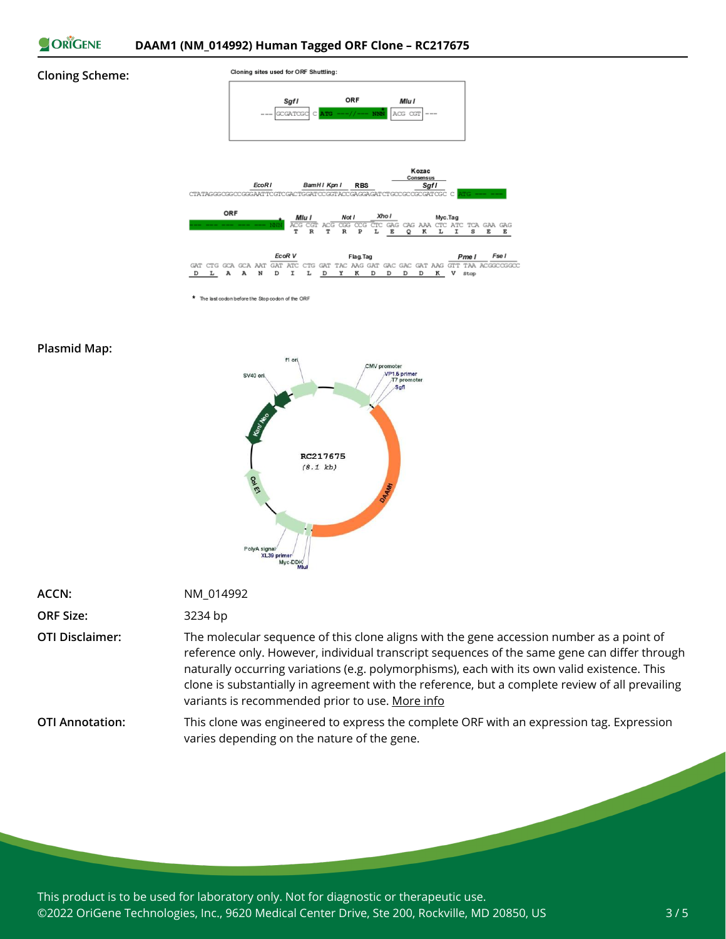

#### **Cloning Scheme:**



\* The last codon before the Stop codon of the ORF

### **Plasmid Map:**



| ACCN:                  | NM 014992                                                                                                                                                                                                                                                                                                                                                                                                                                      |
|------------------------|------------------------------------------------------------------------------------------------------------------------------------------------------------------------------------------------------------------------------------------------------------------------------------------------------------------------------------------------------------------------------------------------------------------------------------------------|
| <b>ORF Size:</b>       | 3234 bp                                                                                                                                                                                                                                                                                                                                                                                                                                        |
| <b>OTI Disclaimer:</b> | The molecular sequence of this clone aligns with the gene accession number as a point of<br>reference only. However, individual transcript sequences of the same gene can differ through<br>naturally occurring variations (e.g. polymorphisms), each with its own valid existence. This<br>clone is substantially in agreement with the reference, but a complete review of all prevailing<br>variants is recommended prior to use. More info |
| <b>OTI Annotation:</b> | This clone was engineered to express the complete ORF with an expression tag. Expression<br>varies depending on the nature of the gene.                                                                                                                                                                                                                                                                                                        |

This product is to be used for laboratory only. Not for diagnostic or therapeutic use. ©2022 OriGene Technologies, Inc., 9620 Medical Center Drive, Ste 200, Rockville, MD 20850, US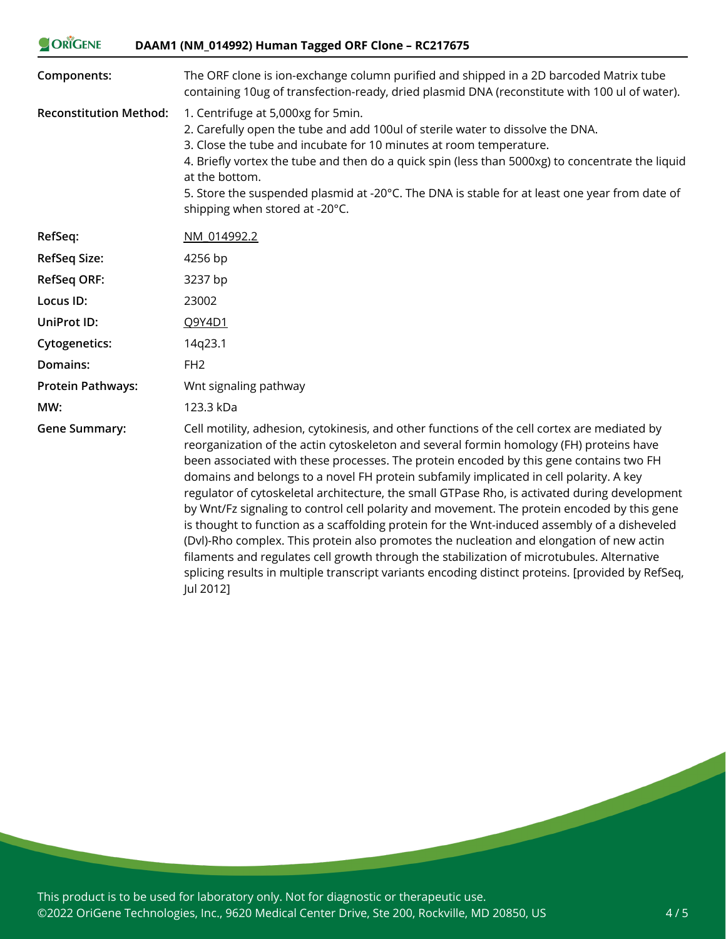| ORIGENE                       | DAAM1 (NM_014992) Human Tagged ORF Clone - RC217675                                                                                                                                                                                                                                                                                                                                                                                                                                                                                                                                                                                                                                                                                                                                                                                                                                                                                                                        |
|-------------------------------|----------------------------------------------------------------------------------------------------------------------------------------------------------------------------------------------------------------------------------------------------------------------------------------------------------------------------------------------------------------------------------------------------------------------------------------------------------------------------------------------------------------------------------------------------------------------------------------------------------------------------------------------------------------------------------------------------------------------------------------------------------------------------------------------------------------------------------------------------------------------------------------------------------------------------------------------------------------------------|
| Components:                   | The ORF clone is ion-exchange column purified and shipped in a 2D barcoded Matrix tube<br>containing 10ug of transfection-ready, dried plasmid DNA (reconstitute with 100 ul of water).                                                                                                                                                                                                                                                                                                                                                                                                                                                                                                                                                                                                                                                                                                                                                                                    |
| <b>Reconstitution Method:</b> | 1. Centrifuge at 5,000xg for 5min.<br>2. Carefully open the tube and add 100ul of sterile water to dissolve the DNA.<br>3. Close the tube and incubate for 10 minutes at room temperature.<br>4. Briefly vortex the tube and then do a quick spin (less than 5000xg) to concentrate the liquid<br>at the bottom.<br>5. Store the suspended plasmid at -20°C. The DNA is stable for at least one year from date of<br>shipping when stored at -20°C.                                                                                                                                                                                                                                                                                                                                                                                                                                                                                                                        |
| RefSeq:                       | NM 014992.2                                                                                                                                                                                                                                                                                                                                                                                                                                                                                                                                                                                                                                                                                                                                                                                                                                                                                                                                                                |
| <b>RefSeq Size:</b>           | 4256 bp                                                                                                                                                                                                                                                                                                                                                                                                                                                                                                                                                                                                                                                                                                                                                                                                                                                                                                                                                                    |
| <b>RefSeq ORF:</b>            | 3237 bp                                                                                                                                                                                                                                                                                                                                                                                                                                                                                                                                                                                                                                                                                                                                                                                                                                                                                                                                                                    |
| Locus ID:                     | 23002                                                                                                                                                                                                                                                                                                                                                                                                                                                                                                                                                                                                                                                                                                                                                                                                                                                                                                                                                                      |
| UniProt ID:                   | Q9Y4D1                                                                                                                                                                                                                                                                                                                                                                                                                                                                                                                                                                                                                                                                                                                                                                                                                                                                                                                                                                     |
| <b>Cytogenetics:</b>          | 14q23.1                                                                                                                                                                                                                                                                                                                                                                                                                                                                                                                                                                                                                                                                                                                                                                                                                                                                                                                                                                    |
| Domains:                      | FH <sub>2</sub>                                                                                                                                                                                                                                                                                                                                                                                                                                                                                                                                                                                                                                                                                                                                                                                                                                                                                                                                                            |
| <b>Protein Pathways:</b>      | Wnt signaling pathway                                                                                                                                                                                                                                                                                                                                                                                                                                                                                                                                                                                                                                                                                                                                                                                                                                                                                                                                                      |
| MW:                           | 123.3 kDa                                                                                                                                                                                                                                                                                                                                                                                                                                                                                                                                                                                                                                                                                                                                                                                                                                                                                                                                                                  |
| <b>Gene Summary:</b>          | Cell motility, adhesion, cytokinesis, and other functions of the cell cortex are mediated by<br>reorganization of the actin cytoskeleton and several formin homology (FH) proteins have<br>been associated with these processes. The protein encoded by this gene contains two FH<br>domains and belongs to a novel FH protein subfamily implicated in cell polarity. A key<br>regulator of cytoskeletal architecture, the small GTPase Rho, is activated during development<br>by Wnt/Fz signaling to control cell polarity and movement. The protein encoded by this gene<br>is thought to function as a scaffolding protein for the Wnt-induced assembly of a disheveled<br>(Dvl)-Rho complex. This protein also promotes the nucleation and elongation of new actin<br>filaments and regulates cell growth through the stabilization of microtubules. Alternative<br>splicing results in multiple transcript variants encoding distinct proteins. [provided by RefSeq, |

This product is to be used for laboratory only. Not for diagnostic or therapeutic use. ©2022 OriGene Technologies, Inc., 9620 Medical Center Drive, Ste 200, Rockville, MD 20850, US

Jul 2012]